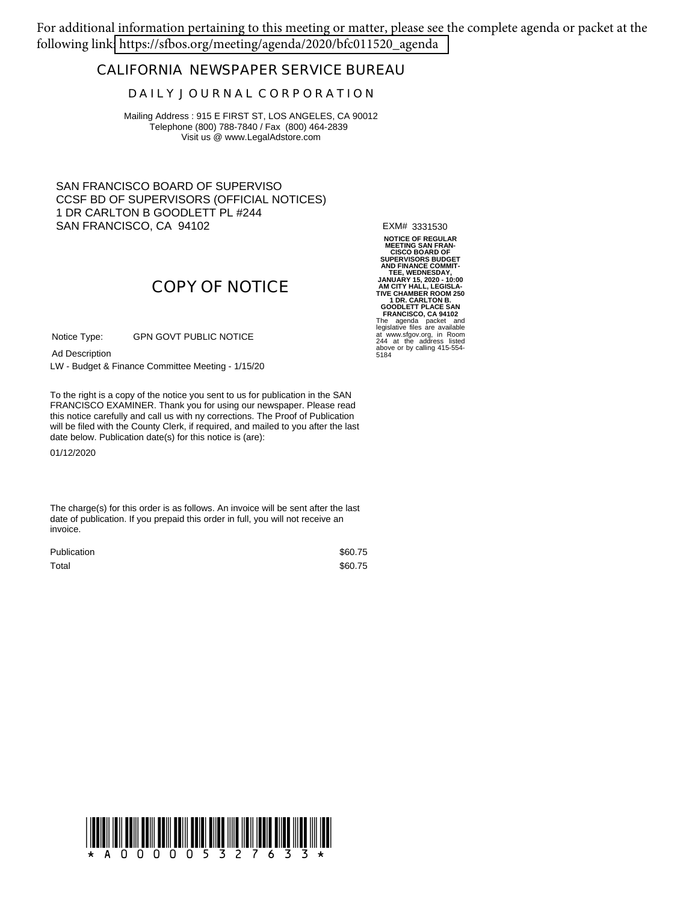For additional information pertaining to this meeting or matter, please see the complete agenda or packet at the following link[: https://sfbos.org/meeting/agenda/2020/bfc011520\\_agenda](https://sfbos.org/meeting/agenda/2020/bfc011520_agenda)

### **CALIFORNIA NEWSPAPER SERVICE BUREAU**

#### **D A I L Y J O U R N A L C O R P O R A T I O N**

Mailing Address : 915 E FIRST ST, LOS ANGELES, CA 90012 Telephone (800) 788-7840 / Fax (800) 464-2839 Visit us @ www.LegalAdstore.com

SAN FRANCISCO BOARD OF SUPERVISO CCSF BD OF SUPERVISORS (OFFICIAL NOTICES) 1 DR CARLTON B GOODLETT PL #244 SAN FRANCISCO, CA 94102

EXM# 3331530

# **COPY OF NOTICE**

GPN GOVT PUBLIC NOTICE Notice Type:

Ad Description

LW - Budget & Finance Committee Meeting - 1/15/20

FRANCISCO EXAMINER. Thank you for using our newspaper. Please read<br>this notice carefully and call us with ny corrections. The Proof of Publication To the right is a copy of the notice you sent to us for publication in the SAN FRANCISCO EXAMINER. Thank you for using our newspaper. Please read will be filed with the County Clerk, if required, and mailed to you after the last date below. Publication date(s) for this notice is (are):

01/12/2020

The charge(s) for this order is as follows. An invoice will be sent after the last date of publication. If you prepaid this order in full, you will not receive an invoice.

| <b>Publication</b> | \$60.75 |
|--------------------|---------|
| Total              | \$60.75 |

**NOTICE OF REGULAR MEETING SAN FRAN-<br>
SUPERVISORS BUDGET<br>
AND FINANCE COMMIT-<br>
TEE, WEDNESDAY,<br>
JANUARY 15, 2020 - 10:00<br>
JANUARY 15, 2020 - 10:00<br>
AM CITY HALL, LEGISLA-<br>
TIVE CHAMBER ROOM 250 1 DR. CARLTON B. GOODLETT PLACE SAN FRANCISCO, CA 94102** The agenda packet and legislative files are available at www.sfgov.org, in Room 244 at the address listed above or by calling 415-554- 5184